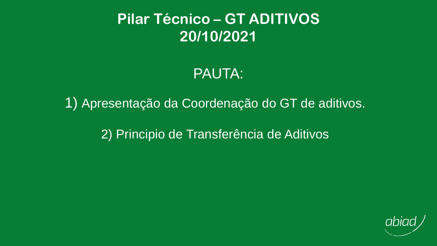## **Pilar Técnico – GT ADITIVOS 20/10/2021**

### PAUTA:

1) Apresentação da Coordenação do GT de aditivos.

2) Principio de Transferência de Aditivos

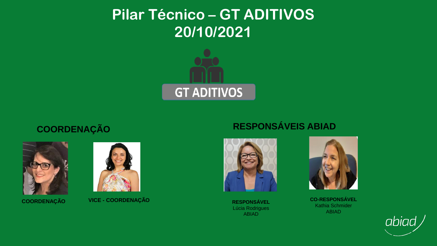## **Pilar Técnico – GT ADITIVOS 20/10/2021**



### **TITULO COORDENAÇÃO**





**COORDENAÇÃO VICE - COORDENAÇÃO**

### **RESPONSÁVEIS ABIAD**



**RESPONSÁVEL** Lúcia Rodrigues ABIAD



**CO-RESPONSÁVEL** Kathia Schmider ABIAD

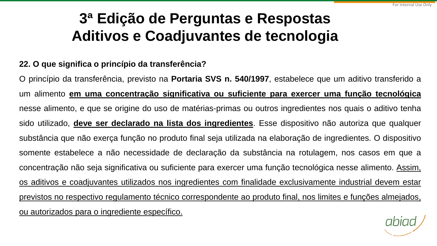## **3ª Edição de Perguntas e Respostas Aditivos e Coadjuvantes de tecnologia**

### **22. O que significa o princípio da transferência?**

O princípio da transferência, previsto na **Portaria SVS n. 540/1997**, estabelece que um aditivo transferido a um alimento **em uma concentração significativa ou suficiente para exercer uma função tecnológica** nesse alimento, e que se origine do uso de matérias-primas ou outros ingredientes nos quais o aditivo tenha sido utilizado, **deve ser declarado na lista dos ingredientes**. Esse dispositivo não autoriza que qualquer substância que não exerça função no produto final seja utilizada na elaboração de ingredientes. O dispositivo somente estabelece a não necessidade de declaração da substância na rotulagem, nos casos em que a concentração não seja significativa ou suficiente para exercer uma função tecnológica nesse alimento. Assim, os aditivos e coadjuvantes utilizados nos ingredientes com finalidade exclusivamente industrial devem estar previstos no respectivo regulamento técnico correspondente ao produto final, nos limites e funções almejados, ou autorizados para o ingrediente específico.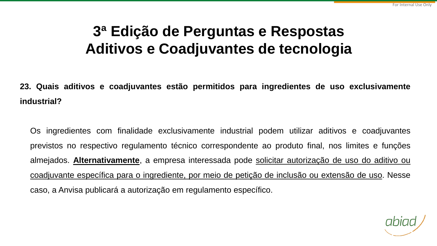## **3ª Edição de Perguntas e Respostas Aditivos e Coadjuvantes de tecnologia**

**23. Quais aditivos e coadjuvantes estão permitidos para ingredientes de uso exclusivamente industrial?**

Os ingredientes com finalidade exclusivamente industrial podem utilizar aditivos e coadjuvantes previstos no respectivo regulamento técnico correspondente ao produto final, nos limites e funções almejados. **Alternativamente**, a empresa interessada pode solicitar autorização de uso do aditivo ou coadjuvante específica para o ingrediente, por meio de petição de inclusão ou extensão de uso. Nesse caso, a Anvisa publicará a autorização em regulamento específico.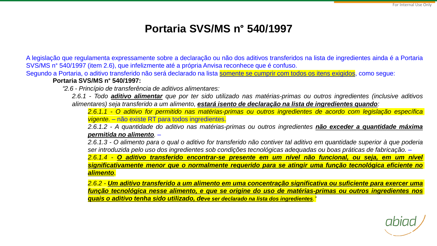### **Portaria SVS/MS n° 540/1997**

A legislação que regulamenta expressamente sobre a declaração ou não dos aditivos transferidos na lista de ingredientes ainda é a Portaria SVS/MS n° 540/1997 (item 2.6), que infelizmente até a própria Anvisa reconhece que é confuso.

Segundo a Portaria, o aditivo transferido não será declarado na lista somente se cumprir com todos os itens exigidos, como segue:

#### **Portaria SVS/MS n° 540/1997:**

*"2.6 - Princípio de transferência de aditivos alimentares:*

2.6.1 - Todo *aditivo alimentar* que por ter sido utilizado nas matérias-primas ou outros ingredientes (inclusive aditivos *alimentares) seja transferido a um alimento, estará isento de declaração na lista de ingredientes quando:*

*2.6.1.1 - O aditivo for permitido nas matérias-primas ou outros ingredientes de acordo com legislação específica vigente.* – não existe RT para todos ingredientes.

*2.6.1.2 - A quantidade do aditivo nas matérias-primas ou outros ingredientes não exceder a quantidade máxima permitida no alimento.* –

2.6.1.3 - O alimento para o qual o aditivo for transferido não contiver tal aditivo em quantidade superior à que poderia *ser introduzida pelo uso dos ingredientes sob condições tecnológicas adequadas ou boas práticas de fabricação.* –

*2.6.1.4 - O aditivo transferido encontrar-se presente em um nível não funcional, ou seja, em um nível significativamente menor que o normalmente requerido para se atingir uma função tecnológica eficiente no alimento.*

2.6.2 - Um aditivo transferido a um alimento em uma concentração significativa ou suficiente para exercer uma *função tecnológica nesse alimento, e que se origine do uso de matérias-primas ou outros ingredientes nos quais o aditivo tenha sido utilizado, deve ser declarado na lista dos ingredientes."*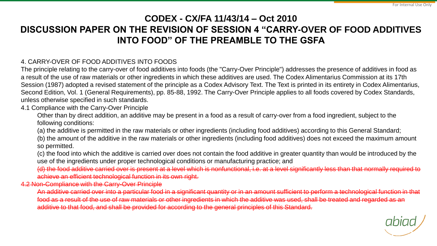### **CODEX - CX/FA 11/43/14 – Oct 2010 DISCUSSION PAPER ON THE REVISION OF SESSION 4 "CARRY-OVER OF FOOD ADDITIVES INTO FOOD" OF THE PREAMBLE TO THE GSFA**

#### 4. CARRY-OVER OF FOOD ADDITIVES INTO FOODS

The principle relating to the carry-over of food additives into foods (the "Carry-Over Principle") addresses the presence of additives in food as a result of the use of raw materials or other ingredients in which these additives are used. The Codex Alimentarius Commission at its 17th Session (1987) adopted a revised statement of the principle as a Codex Advisory Text. The Text is printed in its entirety in Codex Alimentarius, Second Edition, Vol. 1 (General Requirements), pp. 85-88, 1992. The Carry-Over Principle applies to all foods covered by Codex Standards, unless otherwise specified in such standards.

4.1 Compliance with the Carry-Over Principle

Other than by direct addition, an additive may be present in a food as a result of carry-over from a food ingredient, subject to the following conditions:

(a) the additive is permitted in the raw materials or other ingredients (including food additives) according to this General Standard;

(b) the amount of the additive in the raw materials or other ingredients (including food additives) does not exceed the maximum amount so permitted.

(c) the food into which the additive is carried over does not contain the food additive in greater quantity than would be introduced by the use of the ingredients under proper technological conditions or manufacturing practice; and

(d) the food additive carried over is present at a level which is nonfunctional, i.e. at a level significantly less than that normally required to achieve an efficient technological function in its own right.

4.2 Non-Compliance with the Carry-Over Principle

An additive carried over into a particular food in a significant quantity or in an amount sufficient to perform a technological function in that food as a result of the use of raw materials or other ingredients in which the additive was used, shall be treated and regarded as an additive to that food, and shall be provided for according to the general principles of this Standard.

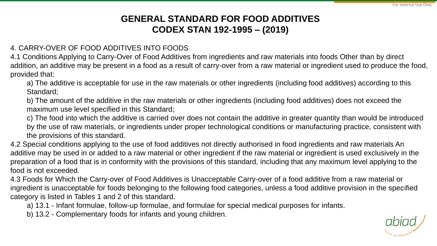### **GENERAL STANDARD FOR FOOD ADDITIVES CODEX STAN 192-1995 – (2019)**

#### 4. CARRY-OVER OF FOOD ADDITIVES INTO FOODS

4.1 Conditions Applying to Carry-Over of Food Additives from ingredients and raw materials into foods Other than by direct addition, an additive may be present in a food as a result of carry-over from a raw material or ingredient used to produce the food, provided that:

a) The additive is acceptable for use in the raw materials or other ingredients (including food additives) according to this Standard;

b) The amount of the additive in the raw materials or other ingredients (including food additives) does not exceed the maximum use level specified in this Standard;

c) The food into which the additive is carried over does not contain the additive in greater quantity than would be introduced by the use of raw materials, or ingredients under proper technological conditions or manufacturing practice, consistent with the provisions of this standard.

4.2 Special conditions applying to the use of food additives not directly authorised in food ingredients and raw materials An additive may be used in or added to a raw material or other ingredient if the raw material or ingredient is used exclusively in the preparation of a food that is in conformity with the provisions of this standard, including that any maximum level applying to the food is not exceeded.

4.3 Foods for Which the Carry-over of Food Additives is Unacceptable Carry-over of a food additive from a raw material or ingredient is unacceptable for foods belonging to the following food categories, unless a food additive provision in the specified category is listed in Tables 1 and 2 of this standard.

a) 13.1 - Infant formulae, follow-up formulae, and formulae for special medical purposes for infants.

b) 13.2 - Complementary foods for infants and young children.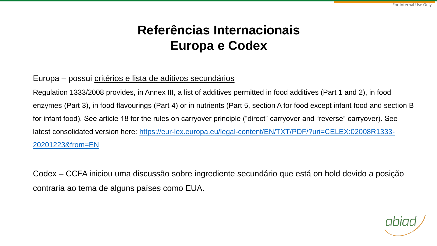### **Referências Internacionais Europa e Codex**

### Europa – possui critérios e lista de aditivos secundários

Regulation 1333/2008 provides, in Annex III, a list of additives permitted in food additives (Part 1 and 2), in food enzymes (Part 3), in food flavourings (Part 4) or in nutrients (Part 5, section A for food except infant food and section B for infant food). See article 18 for the rules on carryover principle ("direct" carryover and "reverse" carryover). See [latest consolidated version here: https://eur-lex.europa.eu/legal-content/EN/TXT/PDF/?uri=CELEX:02008R1333-](https://eur-lex.europa.eu/legal-content/EN/TXT/PDF/?uri=CELEX:02008R1333-20201223&from=EN) 20201223&from=EN

Codex – CCFA iniciou uma discussão sobre ingrediente secundário que está on hold devido a posição contraria ao tema de alguns países como EUA.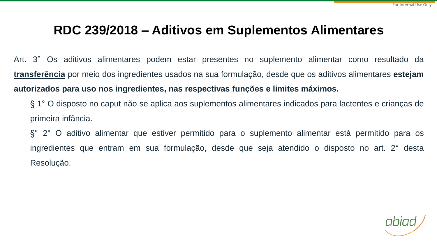### **RDC 239/2018 – Aditivos em Suplementos Alimentares**

Art. 3° Os aditivos alimentares podem estar presentes no suplemento alimentar como resultado da **transferência** por meio dos ingredientes usados na sua formulação, desde que os aditivos alimentares **estejam autorizados para uso nos ingredientes, nas respectivas funções e limites máximos.**

§ 1° O disposto no caput não se aplica aos suplementos alimentares indicados para lactentes e crianças de primeira infância.

§° 2° O aditivo alimentar que estiver permitido para o suplemento alimentar está permitido para os ingredientes que entram em sua formulação, desde que seja atendido o disposto no art. 2° desta Resolução.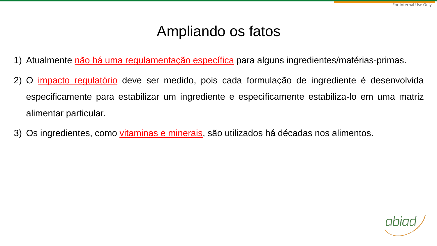## Ampliando os fatos

- 1) Atualmente não há uma regulamentação específica para alguns ingredientes/matérias-primas.
- O impacto regulatório deve ser medido, pois cada formulação de ingrediente é desenvolvida especificamente para estabilizar um ingrediente e especificamente estabiliza-lo em uma matriz alimentar particular.
- 3) Os ingredientes, como vitaminas e minerais, são utilizados há décadas nos alimentos.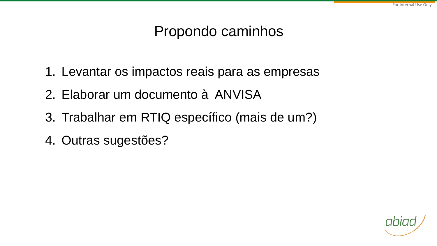## Propondo caminhos

- 1. Levantar os impactos reais para as empresas
- 2. Elaborar um documento à ANVISA
- 3. Trabalhar em RTIQ específico (mais de um?)
- 4. Outras sugestões?

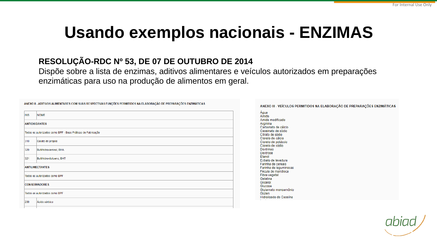# **Usando exemplos nacionais - ENZIMAS**

### **RESOLUÇÃO-RDC Nº 53, DE 07 DE OUTUBRO DE 2014**

Dispõe sobre a lista de enzimas, aditivos alimentares e veículos autorizados em preparações enzimáticas para uso na produção de alimentos em geral.

| <b>INS</b>                                                  | <b>NOME</b>              |
|-------------------------------------------------------------|--------------------------|
| <b>ANTIOXIDANTES</b>                                        |                          |
| Todos os autorizados como BPF - Boas Práticas de Fabricação |                          |
| 310                                                         | Galato de propila        |
| 320                                                         | Butilhidroxianisol, BHA  |
| 321                                                         | Butilhidroxitolueno, BHT |
| <b>ANTIUMECTANTES</b>                                       |                          |
| Todos os autorizados como BPF                               |                          |
| <b>CONSERVADORES</b>                                        |                          |
| Todos os autorizados como BPF                               |                          |
| 200                                                         | Ácido sórbico            |
|                                                             |                          |

ANEXO II - ADITIVOS ALIMENTARES COM SUAS RESPECTIVAS FUNÇÕES PERMITIDOS NA ELABORAÇÃO DE PREPARAÇÕES ENZIMÁTICAS

ANEXO III - VEÍCULOS PERMITIDOS NA ELABORAÇÃO DE PREPARAÇÕES ENZIMÁTICAS

Água Amido Amido modificado Arginina Carbonato de cálcio Caseinato de sódio Citrato de sódio Cloreto de cálcio Cloreto de potássio Cloreto de sódio Dextrinas Dextrose Etanol Extrato de levedura Farinha de cereais Farinha de leguminosas Fécula de mandioca Fibra vegetal Gelatina Glicerol Glucose Glutamato monoamônio Glúten Hidrolisado de Caseína